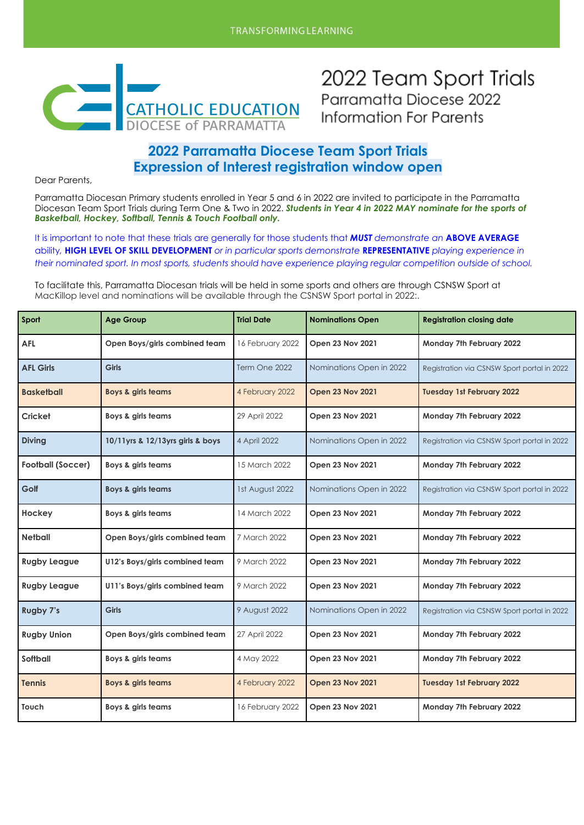

2022 Team Sport Trials Parramatta Diocese 2022 **Information For Parents** 

### **2022 Parramatta Diocese Team Sport Trials Expression of Interest registration window open**

Dear Parents,

Parramatta Diocesan Primary students enrolled in Year 5 and 6 in 2022 are invited to participate in the Parramatta Diocesan Team Sport Trials during Term One & Two in 2022. *Students in Year 4 in 2022 MAY nominate for the sports of Basketball, Hockey, Softball, Tennis & Touch Football only.*

It is important to note that these trials are generally for those students that *MUST demonstrate an* **ABOVE AVERAGE** ability*,* **HIGH LEVEL OF SKILL DEVELOPMENT** *or in particular sports demonstrate* **REPRESENTATIVE** *playing experience in their nominated sport. In most sports, students should have experience playing regular competition outside of school.*

To facilitate this, Parramatta Diocesan trials will be held in some sports and others are through CSNSW Sport at MacKillop level and nominations will be available through the CSNSW Sport portal in 2022:.

| Sport                    | <b>Age Group</b>                 | <b>Trial Date</b> | <b>Nominations Open</b>  | <b>Registration closing date</b>            |
|--------------------------|----------------------------------|-------------------|--------------------------|---------------------------------------------|
| <b>AFL</b>               | Open Boys/girls combined team    | 16 February 2022  | <b>Open 23 Nov 2021</b>  | Monday 7th February 2022                    |
| <b>AFL Girls</b>         | <b>Girls</b>                     | Term One 2022     | Nominations Open in 2022 | Registration via CSNSW Sport portal in 2022 |
| <b>Basketball</b>        | <b>Boys &amp; girls teams</b>    | 4 February 2022   | <b>Open 23 Nov 2021</b>  | <b>Tuesday 1st February 2022</b>            |
| <b>Cricket</b>           | Boys & girls teams               | 29 April 2022     | Open 23 Nov 2021         | Monday 7th February 2022                    |
| <b>Diving</b>            | 10/11yrs & 12/13yrs girls & boys | 4 April 2022      | Nominations Open in 2022 | Registration via CSNSW Sport portal in 2022 |
| <b>Football (Soccer)</b> | Boys & girls teams               | 15 March 2022     | <b>Open 23 Nov 2021</b>  | Monday 7th February 2022                    |
| Golf                     | <b>Boys &amp; girls teams</b>    | 1st August 2022   | Nominations Open in 2022 | Registration via CSNSW Sport portal in 2022 |
| Hockey                   | <b>Boys &amp; girls teams</b>    | 14 March 2022     | <b>Open 23 Nov 2021</b>  | Monday 7th February 2022                    |
| <b>Netball</b>           | Open Boys/girls combined team    | 7 March 2022      | <b>Open 23 Nov 2021</b>  | Monday 7th February 2022                    |
| <b>Rugby League</b>      | U12's Boys/girls combined team   | 9 March 2022      | <b>Open 23 Nov 2021</b>  | Monday 7th February 2022                    |
| <b>Rugby League</b>      | U11's Boys/girls combined team   | 9 March 2022      | <b>Open 23 Nov 2021</b>  | Monday 7th February 2022                    |
| <b>Rugby 7's</b>         | <b>Girls</b>                     | 9 August 2022     | Nominations Open in 2022 | Registration via CSNSW Sport portal in 2022 |
| <b>Rugby Union</b>       | Open Boys/girls combined team    | 27 April 2022     | <b>Open 23 Nov 2021</b>  | Monday 7th February 2022                    |
| Softball                 | Boys & girls teams               | 4 May 2022        | Open 23 Nov 2021         | Monday 7th February 2022                    |
| <b>Tennis</b>            | <b>Boys &amp; girls teams</b>    | 4 February 2022   | <b>Open 23 Nov 2021</b>  | <b>Tuesday 1st February 2022</b>            |
| Touch                    | Boys & girls teams               | 16 February 2022  | <b>Open 23 Nov 2021</b>  | Monday 7th February 2022                    |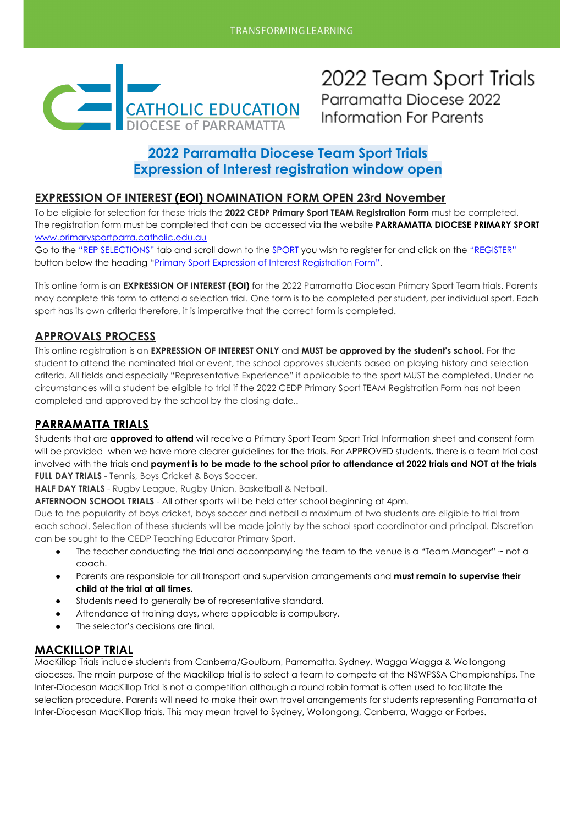

2022 Team Sport Trials Parramatta Diocese 2022 Information For Parents

# **2022 Parramatta Diocese Team Sport Trials Expression of Interest registration window open**

### **EXPRESSION OF INTEREST (EOI) NOMINATION FORM OPEN 23rd November**

To be eligible for selection for these trials the **2022 CEDP Primary Sport TEAM Registration Form** must be completed. The registration form must be completed that can be accessed via the website **PARRAMATTA DIOCESE PRIMARY SPORT** [www.primarysportparra.catholic.edu.au](http://www.primarysportparra.catholic.edu.au)

Go to the "REP SELECTIONS" tab and scroll down to the SPORT you wish to register for and click on the "REGISTER" button below the heading "Primary Sport Expression of Interest Registration Form".

This online form is an **EXPRESSION OF INTEREST (EOI)** for the 2022 Parramatta Diocesan Primary Sport Team trials. Parents may complete this form to attend a selection trial. One form is to be completed per student, per individual sport. Each sport has its own criteria therefore, it is imperative that the correct form is completed.

### **APPROVALS PROCESS**

This online registration is an **EXPRESSION OF INTEREST ONLY** and **MUST be approved by the student's school.** For the student to attend the nominated trial or event, the school approves students based on playing history and selection criteria. All fields and especially "Representative Experience" if applicable to the sport MUST be completed. Under no circumstances will a student be eligible to trial if the 2022 CEDP Primary Sport TEAM Registration Form has not been completed and approved by the school by the closing date..

### **PARRAMATTA TRIALS**

Students that are **approved to attend** will receive a Primary Sport Team Sport Trial Information sheet and consent form will be provided when we have more clearer guidelines for the trials. For APPROVED students, there is a team trial cost involved with the trials and **payment is to be made to the school prior to attendance at 2022 trials and NOT at the trials FULL DAY TRIALS** - Tennis, Boys Cricket & Boys Soccer.

**HALF DAY TRIALS** - Rugby League, Rugby Union, Basketball & Netball.

**AFTERNOON SCHOOL TRIALS** - All other sports will be held after school beginning at 4pm.

Due to the popularity of boys cricket, boys soccer and netball a maximum of two students are eligible to trial from each school. Selection of these students will be made jointly by the school sport coordinator and principal. Discretion can be sought to the CEDP Teaching Educator Primary Sport.

- The teacher conducting the trial and accompanying the team to the venue is a "Team Manager" ~ not a coach.
- Parents are responsible for all transport and supervision arrangements and **must remain to supervise their child at the trial at all times.**
- Students need to generally be of representative standard.
- Attendance at training days, where applicable is compulsory.
- The selector's decisions are final.

### **MACKILLOP TRIAL**

MacKillop Trials include students from Canberra/Goulburn, Parramatta, Sydney, Wagga Wagga & Wollongong dioceses. The main purpose of the Mackillop trial is to select a team to compete at the NSWPSSA Championships. The Inter-Diocesan MacKillop Trial is not a competition although a round robin format is often used to facilitate the selection procedure. Parents will need to make their own travel arrangements for students representing Parramatta at Inter-Diocesan MacKillop trials. This may mean travel to Sydney, Wollongong, Canberra, Wagga or Forbes.